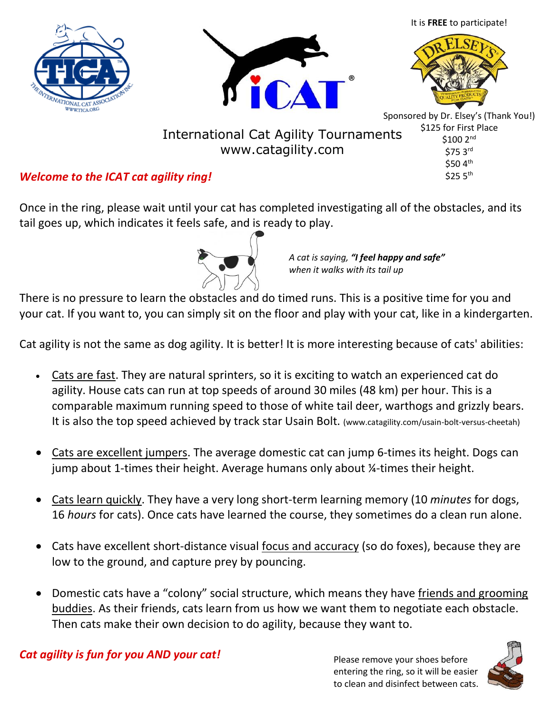





www.catagility.com



Sponsored by Dr. Elsey's (Thank You!) \$125 for First Place  $$100$   $2^{\text{nd}}$ \$75 3rd \$50 4th  $$25.5^{\text{th}}$$ International Cat Agility Tournaments

# *Welcome to the ICAT cat agility ring!*

Once in the ring, please wait until your cat has completed investigating all of the obstacles, and its tail goes up, which indicates it feels safe, and is ready to play.



*A cat is saying, "I feel happy and safe" when it walks with its tail up*

There is no pressure to learn the obstacles and do timed runs. This is a positive time for you and your cat. If you want to, you can simply sit on the floor and play with your cat, like in a kindergarten.

Cat agility is not the same as dog agility. It is better! It is more interesting because of cats' abilities:

- Cats are fast. They are natural sprinters, so it is exciting to watch an experienced cat do agility. House cats can run at top speeds of around 30 miles (48 km) per hour. This is a comparable maximum running speed to those of white tail deer, warthogs and grizzly bears. It is also the top speed achieved by track star Usain Bolt. (www.catagility.com/usain-bolt-versus-cheetah)
- Cats are excellent jumpers. The average domestic cat can jump 6-times its height. Dogs can jump about 1-times their height. Average humans only about ¼-times their height.
- Cats learn quickly. They have a very long short-term learning memory (10 *minutes* for dogs, 16 *hours* for cats). Once cats have learned the course, they sometimes do a clean run alone.
- Cats have excellent short-distance visual focus and accuracy (so do foxes), because they are low to the ground, and capture prey by pouncing.
- Domestic cats have a "colony" social structure, which means they have friends and grooming buddies. As their friends, cats learn from us how we want them to negotiate each obstacle. Then cats make their own decision to do agility, because they want to.